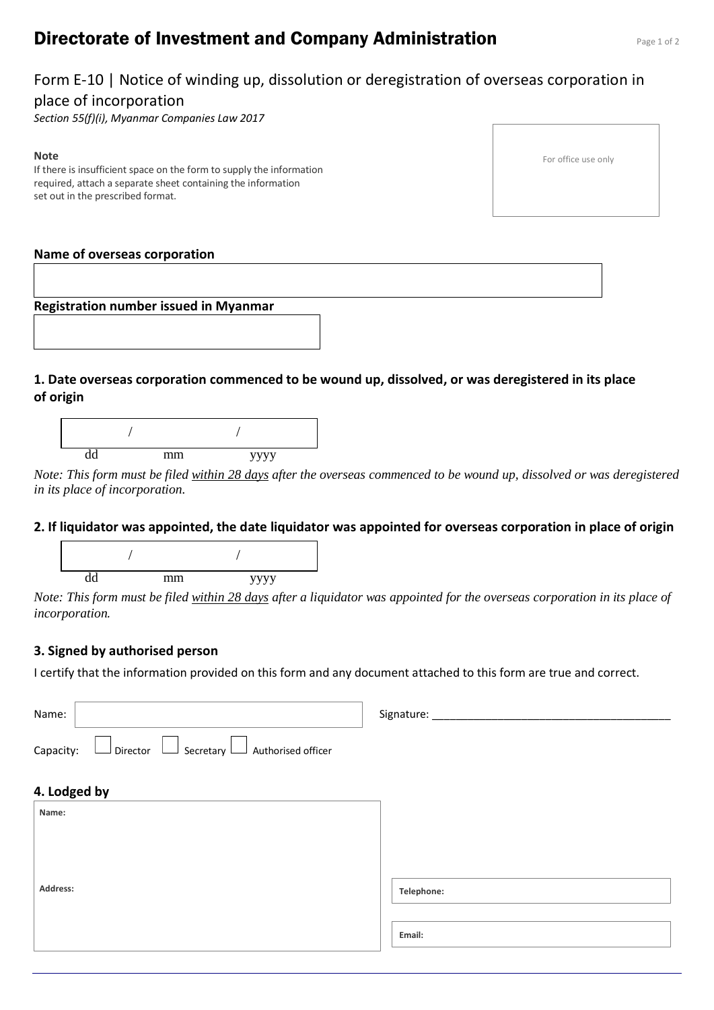# **Directorate of Investment and Company Administration** Page 1 of 2

## Form E-10 | Notice of winding up, dissolution or deregistration of overseas corporation in place of incorporation

*Section 55(f)(i), Myanmar Companies Law 2017*

#### **Note**

If there is insufficient space on the form to supply the information required, attach a separate sheet containing the information set out in the prescribed format.

|  | For office use only |  |  |
|--|---------------------|--|--|
|--|---------------------|--|--|

#### **Name of overseas corporation**



## **1. Date overseas corporation commenced to be wound up, dissolved, or was deregistered in its place of origin**



*Note: This form must be filed within 28 days after the overseas commenced to be wound up, dissolved or was deregistered in its place of incorporation.*

#### **2. If liquidator was appointed, the date liquidator was appointed for overseas corporation in place of origin**



*Note: This form must be filed within 28 days after a liquidator was appointed for the overseas corporation in its place of incorporation.*

### **3. Signed by authorised person**

I certify that the information provided on this form and any document attached to this form are true and correct.

| Name:                                                                   | Signature: |
|-------------------------------------------------------------------------|------------|
| $\Box$ Director $\Box$ Secretary $\Box$ Authorised officer<br>Capacity: |            |
| 4. Lodged by                                                            |            |
| Name:                                                                   |            |
|                                                                         |            |
|                                                                         |            |
| Address:                                                                | Telephone: |
|                                                                         |            |
|                                                                         | Email:     |